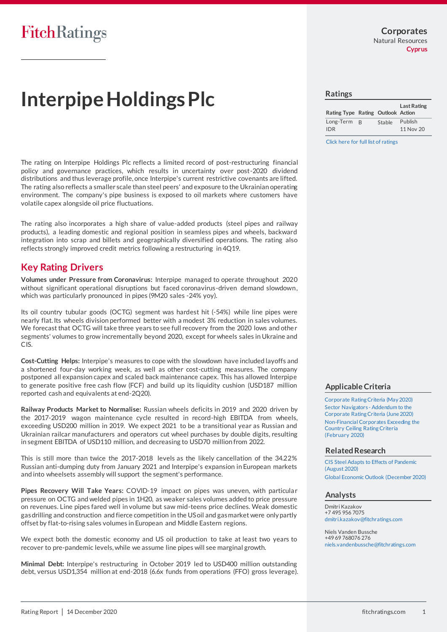**Corporates** Natural Resources **Cyprus**

# **Interpipe Holdings Plc**

The rating on Interpipe Holdings Plc reflects a limited record of post-restructuring financial policy and governance practices, which results in uncertainty over post-2020 dividend distributions and thus leverage profile, once Interpipe's current restrictive covenants are lifted. The rating also reflects a smaller scale than steel peers' and exposure to the Ukrainian operating environment. The company's pipe business is exposed to oil markets where customers have volatile capex alongside oil price fluctuations.

The rating also incorporates a high share of value-added products (steel pipes and railway products), a leading domestic and regional position in seamless pipes and wheels, backward integration into scrap and billets and geographically diversified operations. The rating also reflects strongly improved credit metrics following a restructuring in 4Q19.

## **Key Rating Drivers**

**Volumes under Pressure from Coronavirus:** Interpipe managed to operate throughout 2020 without significant operational disruptions but faced coronavirus-driven demand slowdown, which was particularly pronounced in pipes (9M20 sales -24% yoy).

Its oil country tubular goods (OCTG) segment was hardest hit (-54%) while line pipes were nearly flat. Its wheels division performed better with a modest 3% reduction in sales volumes. We forecast that OCTG will take three years to see full recovery from the 2020 lows and other segments' volumes to grow incrementally beyond 2020, except for wheels sales in Ukraine and CIS.

**Cost-Cutting Helps:** Interpipe's measures to cope with the slowdown have included layoffs and a shortened four-day working week, as well as other cost-cutting measures. The company postponed all expansion capex and scaled back maintenance capex. This has allowed Interpipe to generate positive free cash flow (FCF) and build up its liquidity cushion (USD187 million reported cash and equivalents at end-2Q20).

**Railway Products Market to Normalise:** Russian wheels deficits in 2019 and 2020 driven by the 2017-2019 wagon maintenance cycle resulted in record-high EBITDA from wheels, exceeding USD200 million in 2019. We expect 2021 to be a transitional year as Russian and Ukrainian railcar manufacturers and operators cut wheel purchases by double digits, resulting in segment EBITDA of USD110 million, and decreasing to USD70 million from 2022.

This is still more than twice the 2017-2018 levels as the likely cancellation of the 34.22% Russian anti-dumping duty from January 2021 and Interpipe's expansion in European markets and into wheelsets assembly will support the segment's performance.

**Pipes Recovery Will Take Years:** COVID-19 impact on pipes was uneven, with particula r pressure on OCTG and welded pipes in 1H20, as weaker sales volumes added to price pressure on revenues. Line pipes fared well in volume but saw mid-teens price declines. Weak domestic gas drilling and construction and fierce competition in the US oil and gas market were only partly offset by flat-to-rising sales volumes in European and Middle Eastern regions.

We expect both the domestic economy and US oil production to take at least two years to recover to pre-pandemic levels, while we assume line pipes will see marginal growth.

**Minimal Debt:** Interpipe's restructuring in October 2019 led to USD400 million outstanding debt, versus USD1,354 million at end-2018 (6.6x funds from operations (FFO) gross leverage).

#### **Ratings**

| Rating Type Rating Outlook Action |                |        | <b>Last Rating</b> |
|-----------------------------------|----------------|--------|--------------------|
| Long-Term                         | $\overline{B}$ | Stable | Publish            |
| IDR.                              |                |        | 11 Nov 20          |

[Click here for full list of ratings](https://www.fitchratings.com/entity/interpipe-holdings-plc-96860014)

### **Applicable Criteria**

[Corporate Rating Criteria \(May 2020\)](https://app.fitchconnect.com/search/research/article/RPT_10120170) [Sector Navigators -](https://app.fitchconnect.com/search/research/article/RPT_10125796) Addendum to the [Corporate Rating Criteria \(June 2020\)](https://app.fitchconnect.com/search/research/article/RPT_10125796) [Non-Financial Corporates Exceeding the](https://app.fitchconnect.com/search/research/article/RPT_10111391)  [Country Ceiling Rating](https://app.fitchconnect.com/search/research/article/RPT_10111391) Criteria [\(February](https://app.fitchconnect.com/search/research/article/RPT_10111391) 2020)

#### **Related Research**

[CIS Steel Adapts to Effects of Pandemic](https://app.fitchconnect.com/search/research/article/RPT_10132708)  [\(August 2020\)](https://app.fitchconnect.com/search/research/article/RPT_10132708) [Global Economic Outlook \(December 2020\)](https://app.fitchconnect.com/search/research/article/RPT_10145707)

#### **Analysts**

Dmitri Kazakov +7 495 956 7075 [dmitri.kazakov@fitchratings.com](mailto:%20dmitri.kazakov@fitchratings.com)

Niels Vanden Bussche +49 69 768076 276 [niels.vandenbussche@fitchratings.com](mailto:%20niels.vandenbussche@fitchratings.com)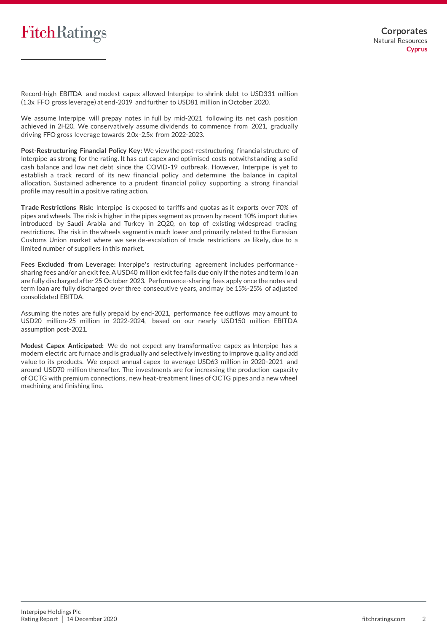Record-high EBITDA and modest capex allowed Interpipe to shrink debt to USD331 million (1.3x FFO gross leverage) at end-2019 and further to USD81 million in October 2020.

We assume Interpipe will prepay notes in full by mid-2021 following its net cash position achieved in 2H20. We conservatively assume dividends to commence from 2021, gradually driving FFO gross leverage towards 2.0x-2.5x from 2022-2023.

**Post-Restructuring Financial Policy Key:** We view the post-restructuring financial structure of Interpipe as strong for the rating. It has cut capex and optimised costs notwithstanding a solid cash balance and low net debt since the COVID-19 outbreak. However, Interpipe is yet to establish a track record of its new financial policy and determine the balance in capital allocation. Sustained adherence to a prudent financial policy supporting a strong financial profile may result in a positive rating action.

**Trade Restrictions Risk:** Interpipe is exposed to tariffs and quotas as it exports over 70% of pipes and wheels. The risk is higher in the pipes segment as proven by recent 10% import duties introduced by Saudi Arabia and Turkey in 2Q20, on top of existing widespread trading restrictions. The risk in the wheels segment is much lower and primarily related to the Eurasian Customs Union market where we see de-escalation of trade restrictions as likely, due to a limited number of suppliers in this market.

**Fees Excluded from Leverage:** Interpipe's restructuring agreement includes performance sharing fees and/or an exit fee. A USD40 million exit fee falls due only if the notes and term loan are fully discharged after 25 October 2023. Performance-sharing fees apply once the notes and term loan are fully discharged over three consecutive years, and may be 15%-25% of adjusted consolidated EBITDA.

Assuming the notes are fully prepaid by end-2021, performance fee outflows may amount to USD20 million-25 million in 2022-2024, based on our nearly USD150 million EBITDA assumption post-2021.

**Modest Capex Anticipated:** We do not expect any transformative capex as Interpipe has a modern electric arc furnace and is gradually and selectively investing to improve quality and add value to its products. We expect annual capex to average USD63 million in 2020-2021 and around USD70 million thereafter. The investments are for increasing the production capacity of OCTG with premium connections, new heat-treatment lines of OCTG pipes and a new wheel machining and finishing line.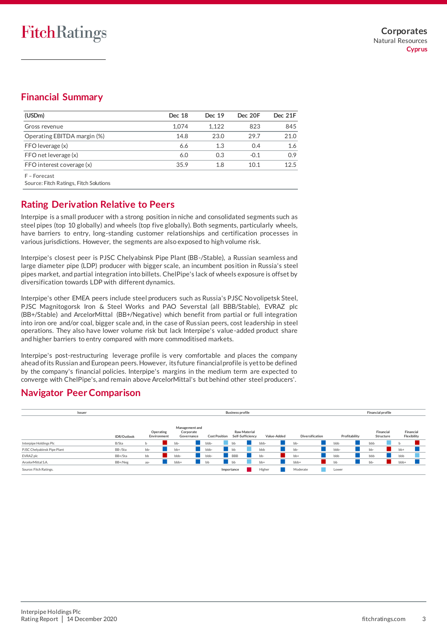# **Financial Summary**

| (USDm)                      | Dec 18 | Dec 19 | Dec 20F | Dec 21F |
|-----------------------------|--------|--------|---------|---------|
| Gross revenue               | 1.074  | 1.122  | 823     | 845     |
| Operating EBITDA margin (%) | 14.8   | 23.0   | 29.7    | 21.0    |
| FFO leverage (x)            | 6.6    | 1.3    | 0.4     | 1.6     |
| FFO net leverage (x)        | 6.0    | 0.3    | $-0.1$  | 0.9     |
| FFO interest coverage (x)   | 35.9   | 1.8    | 10.1    | 12.5    |
| E – Forecast                |        |        |         |         |

Source: Fitch Ratings, Fitch Solutions

# **Rating Derivation Relative to Peers**

Interpipe is a small producer with a strong position in niche and consolidated segments such as steel pipes (top 10 globally) and wheels (top five globally). Both segments, particularly wheels, have barriers to entry, long-standing customer relationships and certification processes in various jurisdictions. However, the segments are also exposed to high volume risk.

Interpipe's closest peer is PJSC Chelyabinsk Pipe Plant (BB-/Stable), a Russian seamless and large diameter pipe (LDP) producer with bigger scale, an incumbent position in Russia's steel pipes market, and partial integration into billets. ChelPipe's lack of wheels exposure is offset by diversification towards LDP with different dynamics.

Interpipe's other EMEA peers include steel producers such as Russia's PJSC Novolipetsk Steel, PJSC Magnitogorsk Iron & Steel Works and PAO Severstal (all BBB/Stable), EVRAZ plc (BB+/Stable) and ArcelorMittal (BB+/Negative) which benefit from partial or full integration into iron ore and/or coal, bigger scale and, in the case of Russian peers, cost leadership in steel operations. They also have lower volume risk but lack Interpipe's value-added product share and higher barriers to entry compared with more commoditised markets.

Interpipe's post-restructuring leverage profile is very comfortable and places the company ahead of its Russian and European peers. However, its future financial profile is yet to be defined by the company's financial policies. Interpipe's margins in the medium term are expected to converge with ChelPipe's, and remain above ArcelorMittal's but behind other steel producers'.

## **Navigator Peer Comparison**

| Issuer                      |  |             |                          |                                           | <b>Business profile</b> |                                         | <b>Financial profile</b> |                        |               |                        |                          |
|-----------------------------|--|-------------|--------------------------|-------------------------------------------|-------------------------|-----------------------------------------|--------------------------|------------------------|---------------|------------------------|--------------------------|
|                             |  | IDR/Outlook | Operating<br>Environment | Management and<br>Corporate<br>Governance | <b>Cost Position</b>    | <b>Raw Material</b><br>Self-Sufficiency | Value-Added              | <b>Diversification</b> | Profitability | Financial<br>Structure | Financial<br>Flexibility |
| Interpipe Holdings Plc      |  | B/Sta       |                          | bb-                                       | bbb-                    | bb                                      | bbb-                     | bb-                    | bbb           | bbb                    | n                        |
| PJSC Chelyabinsk Pipe Plant |  | BB-/Sta     | bb-                      | $bb+$                                     | bbb-                    | bb                                      | bbb                      | bb-                    | bbb-          | bb-                    | $bb+$                    |
| EVRAZ plc                   |  | BB+/Sta     | bb                       | bbb-                                      | bbb-                    | <b>BBB</b>                              | bb-                      | bb+                    | bbb           | bbb                    | bbb                      |
| ArcelorMittal S.A.          |  | BB+/Neg     | aa-                      | bbb+                                      | bb                      | bb                                      | bb+                      | bbb+                   | bb            | bb-                    | bbb+                     |
| Source: Fitch Ratings.      |  |             |                          |                                           |                         | Importance                              | Higher                   | Moderate               | Lower         |                        |                          |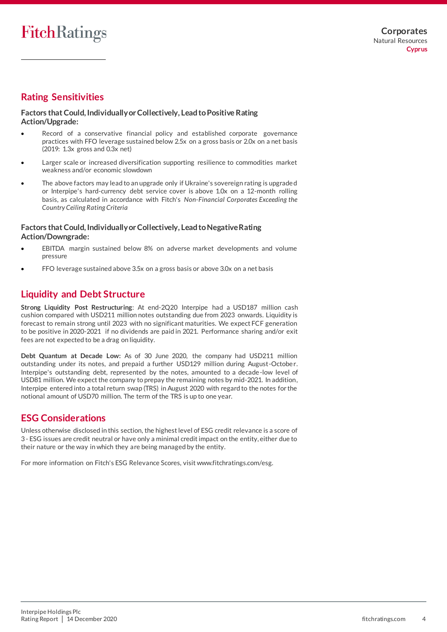# **Rating Sensitivities**

#### **Factors that Could, Individually or Collectively, Lead to Positive Rating Action/Upgrade:**

- Record of a conservative financial policy and established corporate governance practices with FFO leverage sustained below 2.5x on a gross basis or 2.0x on a net basis (2019: 1.3x gross and 0.3x net)
- Larger scale or increased diversification supporting resilience to commodities market weakness and/or economic slowdown
- The above factors may lead to an upgrade only if Ukraine's sovereign rating is upgrade d or Interpipe's hard-currency debt service cover is above 1.0x on a 12-month rolling basis, as calculated in accordance with Fitch's *Non-Financial Corporates Exceeding the Country Ceiling Rating Criteria*

#### **Factors that Could, Individually or Collectively, Lead to Negative Rating Action/Downgrade:**

- EBITDA margin sustained below 8% on adverse market developments and volume pressure
- FFO leverage sustained above 3.5x on a gross basis or above 3.0x on a net basis

## **Liquidity and Debt Structure**

**Strong Liquidity Post Restructuring**: At end-2Q20 Interpipe had a USD187 million cash cushion compared with USD211 million notes outstanding due from 2023 onwards. Liquidity is forecast to remain strong until 2023 with no significant maturities. We expect FCF generation to be positive in 2020-2021 if no dividends are paid in 2021. Performance sharing and/or exit fees are not expected to be a drag on liquidity.

**Debt Quantum at Decade Low:** As of 30 June 2020, the company had USD211 million outstanding under its notes, and prepaid a further USD129 million during August-October. Interpipe's outstanding debt, represented by the notes, amounted to a decade-low level of USD81 million. We expect the company to prepay the remaining notes by mid-2021. In addition, Interpipe entered into a total return swap (TRS) in August 2020 with regard to the notes for the notional amount of USD70 million. The term of the TRS is up to one year.

## **ESG Considerations**

Unless otherwise disclosed in this section, the highest level of ESG credit relevance is a score of 3 - ESG issues are credit neutral or have only a minimal credit impact on the entity, either due to their nature or the way in which they are being managed by the entity.

For more information on Fitch's ESG Relevance Scores, visit www.fitchratings.com/esg.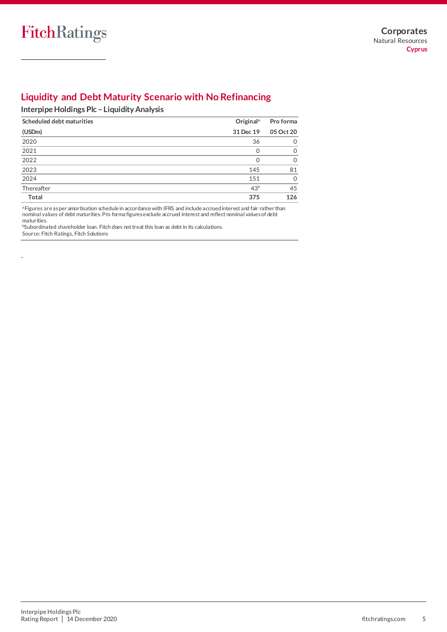-

# **Liquidity and Debt Maturity Scenario with No Refinancing**

## **Interpipe Holdings Plc –Liquidity Analysis**

| Scheduled debt maturities | Original <sup>a</sup> | Pro forma    |
|---------------------------|-----------------------|--------------|
| (USDm)                    | 31 Dec 19             | 05 Oct 20    |
| 2020                      | 36                    | $\left($     |
| 2021                      |                       | <sup>0</sup> |
| 2022                      |                       | $\Omega$     |
| 2023                      | 145                   | 81           |
| 2024                      | 151                   | $\Omega$     |
| Thereafter                | 43 <sup>b</sup>       | 45           |
| Total                     | 375                   | 126          |

<sup>a</sup>Figures are as per amortisation schedule in accordance with IFRS and include accrued interest and fair rather than nominal values of debt maturities. Pro forma figures exclude accrued interest and reflect nominal values of debt maturities.

bSubordinated shareholder loan. Fitch does not treat this loan as debt in its calculations. Source: Fitch Ratings, Fitch Solutions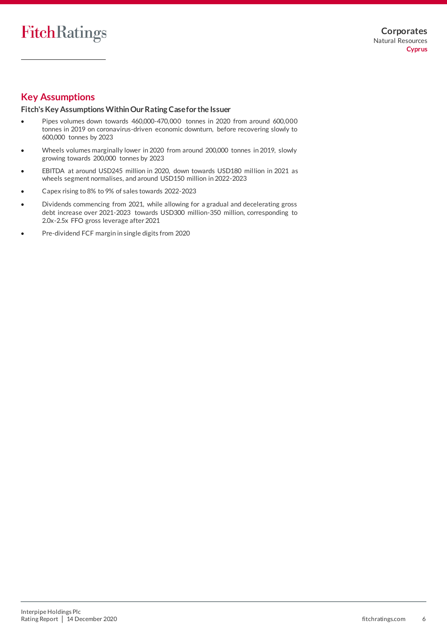# **Key Assumptions**

### **Fitch's Key Assumptions Within Our Rating Case for the Issuer**

- Pipes volumes down towards 460,000-470,000 tonnes in 2020 from around 600,000 tonnes in 2019 on coronavirus-driven economic downturn, before recovering slowly to 600,000 tonnes by 2023
- Wheels volumes marginally lower in 2020 from around 200,000 tonnes in 2019, slowly growing towards 200,000 tonnes by 2023
- EBITDA at around USD245 million in 2020, down towards USD180 million in 2021 as wheels segment normalises, and around USD150 million in 2022-2023
- Capex rising to 8% to 9% of sales towards 2022-2023
- Dividends commencing from 2021, while allowing for a gradual and decelerating gross debt increase over 2021-2023 towards USD300 million-350 million, corresponding to 2.0x-2.5x FFO gross leverage after 2021
- Pre-dividend FCF margin in single digits from 2020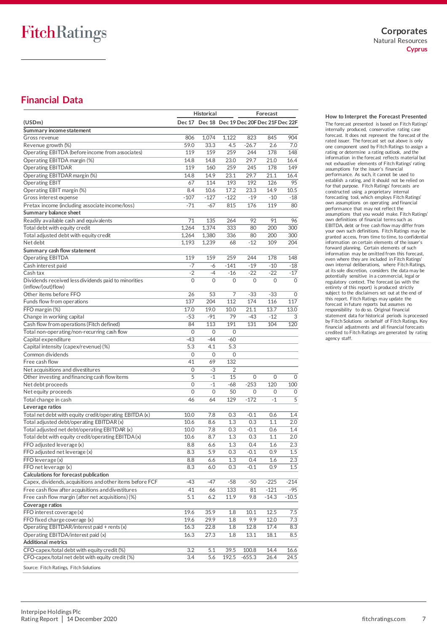# **Financial Data**

|                                                                            |          | Historical |              |                                              | Forecast |                  |
|----------------------------------------------------------------------------|----------|------------|--------------|----------------------------------------------|----------|------------------|
| (USDm)                                                                     |          |            |              | Dec 17 Dec 18 Dec 19 Dec 20F Dec 21F Dec 22F |          |                  |
| Summary income statement                                                   |          |            |              |                                              |          |                  |
| Gross revenue                                                              | 806      | 1,074      | 1.122        | 823                                          | 845      | 904              |
| Revenue growth (%)                                                         | 59.0     | 33.3       | 4.5          | $-26.7$                                      | 2.6      | 7.0              |
| Operating EBITDA (before income from associates)                           | 119      | 159        | 259          | 244                                          | 178      | 148              |
| Operating EBITDA margin (%)                                                | 14.8     | 14.8       | 23.0         | 29.7                                         | 21.0     | 16.4             |
| <b>Operating EBITDAR</b>                                                   | 119      | 160        | 259          | 245                                          | 178      | 149              |
| Operating EBITDAR margin (%)                                               | 14.8     | 14.9       | 23.1         | 29.7                                         | 21.1     | 16.4             |
| <b>Operating EBIT</b>                                                      | 67       | 114        | 193          | 192                                          | 126      | 95               |
|                                                                            | 8.4      | 10.6       | 17.2         | 23.3                                         | 14.9     | 10.5             |
| Operating EBIT margin (%)                                                  | $-107$   | $-127$     | $-122$       | $-19$                                        | $-10$    | $-18$            |
| Gross interest expense                                                     |          |            |              |                                              |          |                  |
| Pretax income (including associate income/loss)                            | $-71$    | $-67$      | 815          | 176                                          | 119      | 80               |
| Summary balance sheet                                                      |          |            |              |                                              |          |                  |
| Readily available cash and equivalents                                     | 71       | 135        | 264          | 92                                           | 91       | 96               |
| Total debt with equity credit                                              | 1,264    | 1,374      | 333          | 80                                           | 200      | 300              |
| Total adjusted debt with equity credit                                     | 1,264    | 1,380      | 336          | 80                                           | 200      | 300              |
| Net debt                                                                   | 1,193    | 1,239      | 68           | $-12$                                        | 109      | 204              |
| Summary cash flow statement                                                |          |            |              |                                              |          |                  |
| <b>Operating EBITDA</b>                                                    | 119      | 159        | 259          | 244                                          | 178      | 148              |
| Cash interest paid                                                         | $-7$     | -6         | $-141$       | $-19$                                        | $-10$    | $-18$            |
| Cash tax                                                                   | $-2$     | $-4$       | $-16$        | $-22$                                        | $-22$    | $-17$            |
| Dividends received less dividends paid to minorities<br>(inflow/(out)flow) | 0        | 0          | $\mathbf 0$  | 0                                            | 0        | $\mathbf 0$      |
| Other items before FFO                                                     | 26       | 53         | 7            | $-33$                                        | $-33$    | 0                |
| Funds flow from operations                                                 | 137      | 204        | 112          | 174                                          | 116      | 117              |
| FFO margin (%)                                                             | 17.0     | 19.0       | 10.0         | 21.1                                         | 13.7     | 13.0             |
| Change in working capital                                                  | $-53$    | $-91$      | 79           | $-43$                                        | $-12$    | 3                |
| Cash flow from operations (Fitch defined)                                  | 84       | 113        | 191          | 131                                          | 104      | 120              |
| Total non-operating/non-recurring cash flow                                | $\Omega$ | $\Omega$   | $\Omega$     |                                              |          |                  |
| Capital expenditure                                                        | $-43$    | $-44$      | $-60$        |                                              |          |                  |
| Capital intensity (capex/revenue) (%)                                      | 5.3      | 4.1        | 5.3          |                                              |          |                  |
| Common dividends                                                           | 0        | 0          | $\mathbf{0}$ |                                              |          |                  |
| Free cash flow                                                             | 41       | 69         | 132          |                                              |          |                  |
| Net acquisitions and divestitures                                          | 0        | -3         | 2            |                                              |          |                  |
| Other investing and financing cash flow items                              | 5        | $-1$       | 15           | 0                                            | $\Omega$ | $\mathbf 0$      |
| Net debt proceeds                                                          | 0        | $-1$       | -68          | $-253$                                       | 120      | 100              |
| Net equity proceeds                                                        | 0        | 0          | 50           | 0                                            | 0        | $\mathbf 0$      |
|                                                                            |          |            |              |                                              |          | $\overline{5}$   |
| Total change in cash                                                       | 46       | 64         | 129          | $-172$                                       | $-1$     |                  |
| Leverage ratios                                                            |          |            |              |                                              |          |                  |
| Total net debt with equity credit/operating EBITDA (x)                     | 10.0     | 7.8        | 0.3          | $-0.1$                                       | 0.6      | 1.4              |
| Total adjusted debt/operating EBITDAR (x)                                  | 10.6     | 8.6        | 1.3          | 0.3                                          | 1.1      | 2.0              |
| Total adjusted net debt/operating EBITDAR (x)                              | 10.0     | 7.8        | 0.3          | $-0.1$                                       | 0.6      | 1.4              |
| Total debt with equity credit/operating EBITDA(x)                          | 10.6     | 8.7        | 1.3          | 0.3                                          | 1.1      | 2.0              |
| FFO adjusted leverage (x)                                                  | 8.8      | 6.6        | 1.3          | 0.4                                          | 1.6      | 2.3              |
| FFO adjusted net leverage (x)                                              | 8.3      | 5.9        | 0.3          | $-0.1$                                       | 0.9      | $1.5\,$          |
| FFO leverage (x)                                                           | 8.8      | 6.6        | 1.3          | 0.4                                          | 1.6      | $\overline{2.3}$ |
| FFO net leverage (x)                                                       | 8.3      | 6.0        | 0.3          | -0.1                                         | 0.9      | $1.5\,$          |
| Calculations for forecast publication                                      |          |            |              |                                              |          |                  |
| Capex, dividends, acquisitions and other items before FCF                  | -43      | -47        | -58          | -50                                          | $-225$   | $-214$           |
| Free cash flow after acquisitions and divestitures                         | 41       | 66         | 133          | 81                                           | $-121$   | -95              |
| Free cash flow margin (after net acquisitions) (%)                         | 5.1      | 6.2        | 11.9         | 9.8                                          | $-14.3$  | $-10.5$          |
| Coverage ratios                                                            |          |            |              |                                              |          |                  |
| FFO interest coverage (x)                                                  | 19.6     | 35.9       | 1.8          | 10.1                                         | 12.5     | 7.5              |
| FFO fixed charge coverage (x)                                              | 19.6     | 29.9       | $1.8\,$      | 9.9                                          | 12.0     | 7.3              |
| Operating EBITDAR/interest paid + rents (x)                                | 16.3     | 22.8       | 1.8          | 12.8                                         | 17.4     | 8.3              |
| Operating EBITDA/interest paid (x)                                         | 16.3     | 27.3       | $1.8\,$      | 13.1                                         | 18.1     | 8.5              |
| <b>Additional metrics</b>                                                  |          |            |              |                                              |          |                  |
| CFO-capex/total debt with equity credit (%)                                | 3.2      | 5.1        | 39.5         | 100.8                                        | 14.4     | 16.6             |
| CFO-capex/total net debt with equity credit (%)                            | 3.4      | 5.6        | 192.5        | $-655.3$                                     | 26.4     | 24.5             |
|                                                                            |          |            |              |                                              |          |                  |
| Source: Fitch Ratings, Fitch Solutions                                     |          |            |              |                                              |          |                  |

**How to Interpret the Forecast Presented** The forecast presented is based on Fitch Ratings' internally produced, conservative rating case forecast. It does not represent the forecast of the rated issuer. The forecast set out above is only one component used by Fitch Ratings to assign a rating or determine a rating outlook, and the information in the forecast reflects material but not exhaustive elements of Fitch Ratings' rating assumptions for the issuer's financial performance. As such, it cannot be used to establish a rating, and it should not be relied on for that purpose. Fitch Ratings' forecasts are constructed using a proprietary internal forecasting tool, which employs Fitch Ratings' own assumptions on operating and financial performance that may not reflect the assumptions that you would make. Fitch Ratings' own definitions of financial terms such as EBITDA, debt or free cash flow may differ from your own such definitions. Fitch Ratings may be granted access, from time to time, to confidential information on certain elements of the issuer's forward planning. Certain elements of such information may be omitted from this forecast, even where they are included in Fitch Ratings' own internal deliberations, where Fitch Ratings, at its sole discretion, considers the data may be potentially sensitive in a commercial, legal or regulatory context. The forecast (as with the entirety of this report) is produced strictly subject to the disclaimers set out at the end of this report. Fitch Ratings may update the forecast in future reports but assumes no responsibility to do so. Original financial statement data for historical periods is processed by Fitch Solutions on behalf of Fitch Ratings. Key financial adjustments and all financial forecasts credited to Fitch Ratings are generated by rating agency staff.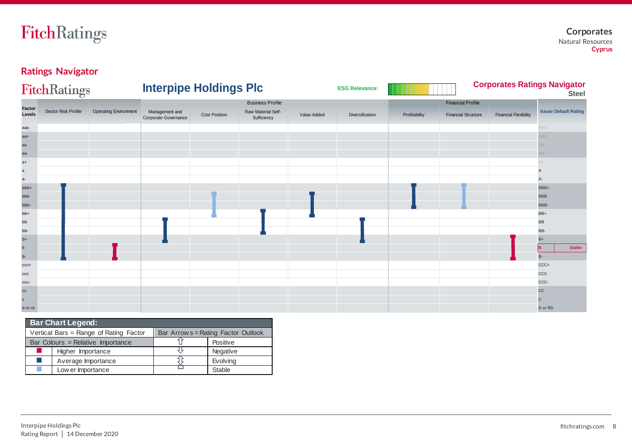# **Ratings Navigator**

|                         | <b>FitchRatings</b> |                              | <b>Interpipe Holdings Plc</b>          |                      |                                   |             | <b>ESG Relevance:</b> |               |                            |                              | <b>Corporates Ratings Navigator</b><br><b>Steel</b> |
|-------------------------|---------------------|------------------------------|----------------------------------------|----------------------|-----------------------------------|-------------|-----------------------|---------------|----------------------------|------------------------------|-----------------------------------------------------|
|                         |                     |                              |                                        |                      | <b>Business Profile</b>           |             |                       |               | <b>Financial Profile</b>   |                              |                                                     |
| <b>Factor</b><br>Levels | Sector Risk Profile | <b>Operating Environment</b> | Management and<br>Corporate Governance | <b>Cost Position</b> | Raw Material Self-<br>Sufficiency | Value-Added | Diversification       | Profitability | <b>Financial Structure</b> | <b>Financial Flexibility</b> | <b>Issuer Default Rating</b>                        |
| aaa                     |                     |                              |                                        |                      |                                   |             |                       |               |                            |                              | AAA                                                 |
| $aa+$                   |                     |                              |                                        |                      |                                   |             |                       |               |                            |                              | $AA+$                                               |
| aa                      |                     |                              |                                        |                      |                                   |             |                       |               |                            |                              | AΑ                                                  |
| aa-                     |                     |                              |                                        |                      |                                   |             |                       |               |                            |                              | $AA-$                                               |
| $a+$                    |                     |                              |                                        |                      |                                   |             |                       |               |                            |                              |                                                     |
| $\mathbf{a}$            |                     |                              |                                        |                      |                                   |             |                       |               |                            |                              |                                                     |
| $a-$                    |                     |                              |                                        |                      |                                   |             |                       |               |                            |                              |                                                     |
| bbb+                    |                     |                              |                                        |                      |                                   |             |                       |               |                            |                              | BBB+                                                |
| ddd                     |                     |                              |                                        |                      |                                   |             |                       |               |                            |                              | <b>BBB</b>                                          |
| bbb-                    |                     |                              |                                        |                      |                                   |             |                       |               |                            |                              | BBB-                                                |
| $+dd$                   |                     |                              |                                        |                      |                                   |             |                       |               |                            |                              | BB+                                                 |
| bb                      |                     |                              |                                        |                      |                                   |             |                       |               |                            |                              | BB                                                  |
| bb-                     |                     |                              |                                        |                      |                                   |             |                       |               |                            |                              | BB-                                                 |
| $b+$                    |                     |                              |                                        |                      |                                   |             |                       |               |                            |                              | $B+$                                                |
| $\mathbf b$<br>$b-$     |                     |                              |                                        |                      |                                   |             |                       |               |                            |                              | <b>Stable</b><br>lв<br>B-                           |
| CCC+                    |                     |                              |                                        |                      |                                   |             |                       |               |                            |                              | CCC+                                                |
| ccc                     |                     |                              |                                        |                      |                                   |             |                       |               |                            |                              | ccc                                                 |
| ccc-                    |                     |                              |                                        |                      |                                   |             |                       |               |                            |                              | CCC-                                                |
| cc                      |                     |                              |                                        |                      |                                   |             |                       |               |                            |                              | cc                                                  |
| $\mathbf{C}$            |                     |                              |                                        |                      |                                   |             |                       |               |                            |                              | C                                                   |
| d or rd                 |                     |                              |                                        |                      |                                   |             |                       |               |                            |                              | D or RD                                             |

| <b>Bar Chart Legend:</b> |                                        |                                     |               |  |  |  |  |  |  |  |
|--------------------------|----------------------------------------|-------------------------------------|---------------|--|--|--|--|--|--|--|
|                          | Vertical Bars = Range of Rating Factor | Bar Arrow s = Rating Factor Outlook |               |  |  |  |  |  |  |  |
|                          | Bar Colours = Relative Importance      |                                     | Positive      |  |  |  |  |  |  |  |
|                          | Higher Importance                      |                                     | Negative      |  |  |  |  |  |  |  |
| a a                      | Average Importance                     |                                     | Evolving      |  |  |  |  |  |  |  |
| m.                       | Low er Importance                      |                                     | <b>Stable</b> |  |  |  |  |  |  |  |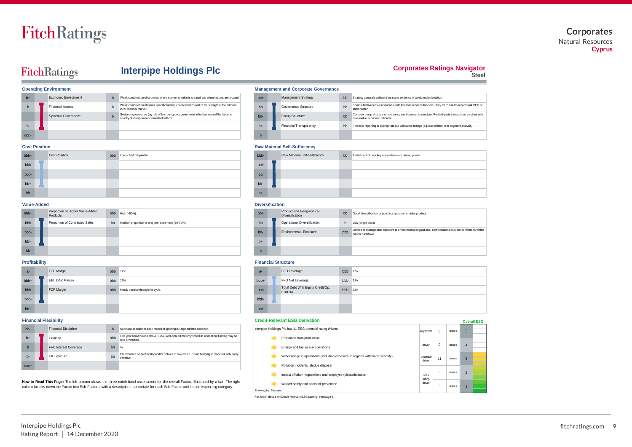### **Corporates** Natural Resources **Cyprus**

# FitchRatings

## **Interpipe Holdings Plc**

#### **Corporates Ratings Navigator**

**Steel**

|         | <b>Operating Environment</b> | <b>Management and Corporate Governance</b>                                                                                                  |  |           |  |                               |    |
|---------|------------------------------|---------------------------------------------------------------------------------------------------------------------------------------------|--|-----------|--|-------------------------------|----|
| $h+$    | Fconomic Environment         | Weak combination of countries where economic value is created and where assets are located.                                                 |  | $hb +$    |  | <b>Management Strategy</b>    | bb |
|         | <b>Financial Access</b>      | Weak combination of issuer specific funding characteristics and of the strength of the relevant<br>local financial market.                  |  | bb        |  | Governance Structure          | bb |
|         | Systemic Governance          | Systemic governance (eg rule of law, corruption; government effectiveness) of the issuer's<br>country of incorporation consistent with 'b'. |  | <b>bb</b> |  | <b>Group Structure</b>        | bb |
| b-      |                              |                                                                                                                                             |  | $h+$      |  | <b>Financial Transparency</b> | bb |
| $CCC +$ |                              |                                                                                                                                             |  | In        |  |                               |    |

**Management and Corporate Governance** 

|       | Cost Position |               |                             | <b>Raw Material Self-Sufficiency</b> |  |                               |  |                                                             |  |  |
|-------|---------------|---------------|-----------------------------|--------------------------------------|--|-------------------------------|--|-------------------------------------------------------------|--|--|
| bbb+  |               | Cost Position | bbb Low - 1st/2nd quartile. | bbb-                                 |  | Raw Material Self-Sufficiency |  | bb Partial control over key raw materials or pricing power. |  |  |
| bbb   |               |               |                             | $bb+$                                |  |                               |  |                                                             |  |  |
| bbb-  |               |               |                             | bb                                   |  |                               |  |                                                             |  |  |
| $bb+$ |               |               |                             | bb-                                  |  |                               |  |                                                             |  |  |
| bb    |               |               |                             | $b+$                                 |  |                               |  |                                                             |  |  |

shareholder.

reasonable economic rationale.

bb Strategy generally coherent but some evidence of weak implementation.

Board effectiveness questionable with few independent directors. "Key man" risk from dominant CEO or

Complex group structure or non transparent ownership structure. Related-party transactions exist but with

Financial reporting is appropriate but with some failings (eg, lack of interim or segment analysis).

#### **Value-Added Diversification** bbb+ bbb bb+ bb bbb Proportion of Contracted Sales bb Medium proportion to long term customers (30-70%) that the second bb bb Derational Diversification b bbb- bb- bbb bb+ b+ bb box and the contract of the contract of the contract of the contract of the contract of the contract of the bbb  $High (>50%).$ Proportion of Contracted Sales Proportion of Higher Value-Added **Products**

| $a -$           | FFO Margin            | bbb | 12%                                | $a-$  | FFO Leverage                                       | bbb |
|-----------------|-----------------------|-----|------------------------------------|-------|----------------------------------------------------|-----|
| bb <sub>+</sub> | <b>EBITDAR Margin</b> | bbb | 16%                                | bbb+  | FFO Net Leverage                                   | bbb |
| bbb             | FCF Margin            | bbb | Mostly positive through the cycle. | bbb   | Total Debt With Equity Credit/Op.<br><b>EBITDA</b> | bbb |
| bbb-            |                       |     |                                    | bbb-  |                                                    |     |
| $bb+$           |                       |     |                                    | $bb+$ |                                                    |     |

| bb-         | <b>Financial Discipline</b> |     | No financial policy or track record of ignoring it. Opportunistic behavior.                                                                                                                                                                                                | Interpipe Holdings Plc has 11 ESG potential rating drivers                    | key driv           |
|-------------|-----------------------------|-----|----------------------------------------------------------------------------------------------------------------------------------------------------------------------------------------------------------------------------------------------------------------------------|-------------------------------------------------------------------------------|--------------------|
| $b+$        | Liquidity                   | bbb | One year liquidity ratio above 1.25x. Well-spread maturity schedule of debt but funding may be<br>less diversified.                                                                                                                                                        | Emissions from production                                                     |                    |
| $\mathbf b$ | FFO Interest Coverage       | bb  | 6x                                                                                                                                                                                                                                                                         | Energy and fuel use in operations                                             | driver             |
| $b -$       | <b>FX Exposure</b>          | bb  | FX exposure on profitability and/or debt/cash flow match. Some hedging in place but only partly<br>effective.                                                                                                                                                              | Water usage in operations (including exposure to regions with water scarcity) | potentia<br>driver |
| CCC+        |                             |     |                                                                                                                                                                                                                                                                            | Pollution incidents; sludge disposal                                          |                    |
|             |                             |     |                                                                                                                                                                                                                                                                            | Impact of labor negotiations and employee (dis)satisfaction                   | not a              |
|             |                             |     | How to Read This Page: The left column shows the three-notch band assessment for the overall Factor, illustrated by a bar. The right<br>column breaks down the Factor into Sub-Factors, with a description appropriate for each Sub-Factor and its corresponding category. | Worker safety and accident prevention                                         | rating<br>driver   |
|             |                             |     |                                                                                                                                                                                                                                                                            | Showing top 6 issues                                                          |                    |
|             |                             |     |                                                                                                                                                                                                                                                                            |                                                                               |                    |

| $bb+$ | Product and Geographical<br><b>Diversification</b> | b <sub>b</sub> | Good diversification or good cost position in niche product.                                                                |
|-------|----------------------------------------------------|----------------|-----------------------------------------------------------------------------------------------------------------------------|
| bb    | Operational Diversification                        |                | Low (single plant)                                                                                                          |
| $hh-$ | <b>Environmental Exposure</b>                      | bbb            | Limited or manageable exposure to environmental regulations. Remediation costs are comfortably within<br>current cashflows. |
| $h+$  |                                                    |                |                                                                                                                             |
| b     |                                                    |                |                                                                                                                             |

#### **Profitability Financial Structure**

| $a-$  | FFO Leverage                                       | bbb | 2.5x |
|-------|----------------------------------------------------|-----|------|
| bbb+  | FFO Net Leverage                                   | bbb | 2.0x |
| bbb   | Total Debt With Equity Credit/Op.<br><b>EBITDA</b> | bbb | 2.0x |
| bbb-  |                                                    |     |      |
| $bb+$ |                                                    |     |      |

#### **Financial Flexibility Credit-Relevant ESG Derivation**

| Gledit-Relevant ESG Derivation                                                |                     |            |        |                | <b>Overall ESG</b> |
|-------------------------------------------------------------------------------|---------------------|------------|--------|----------------|--------------------|
| Interpipe Holdings Plc has 11 ESG potential rating drivers                    | key driver          | $^{\circ}$ | issues | 5              |                    |
| Emissions from production                                                     |                     |            |        |                |                    |
| Energy and fuel use in operations                                             | driver              | $\Omega$   | issues | $\overline{4}$ |                    |
| Water usage in operations (including exposure to regions with water scarcity) | potential<br>driver | 11         | issues | 3              |                    |
| Pollution incidents: sludge disposal                                          |                     |            |        |                |                    |
| Impact of labor negotiations and employee (dis)satisfaction                   | not a<br>rating     | $\Omega$   | issues | $\overline{2}$ |                    |
| Worker safety and accident prevention                                         | driver              | 3          | issues |                |                    |
| Showing top 6 issues                                                          |                     |            |        |                |                    |

For further details on Credit-Relevant ESG scoring, see page 3.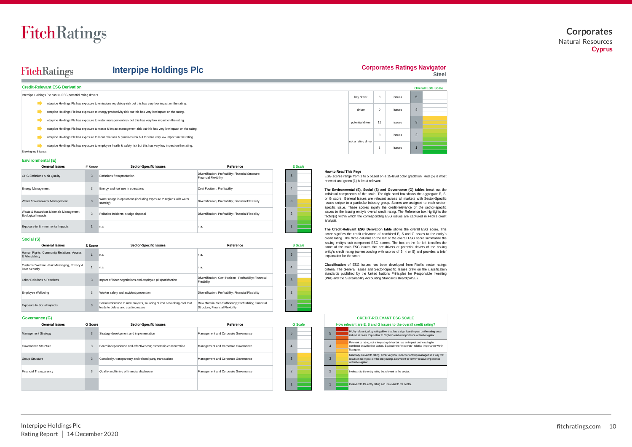### **Corporates** Natural Resources **Cyprus**

# FitchRatings

### **Interpipe Holdings Plc**

#### **Corporates Ratings Navigator**

**Steel**

|                             | Credit-Relevant ESG Derivation                             |              |                                                                                                                     |                                                                                      |         |                                                                                                                                                         |                     |             |        |                | <b>Overall ESG Scale</b> |
|-----------------------------|------------------------------------------------------------|--------------|---------------------------------------------------------------------------------------------------------------------|--------------------------------------------------------------------------------------|---------|---------------------------------------------------------------------------------------------------------------------------------------------------------|---------------------|-------------|--------|----------------|--------------------------|
|                             | Interpipe Holdings Plc has 11 ESG potential rating drivers |              |                                                                                                                     |                                                                                      |         |                                                                                                                                                         | key driver          | $\mathbf 0$ | issues |                |                          |
|                             |                                                            |              | Interpipe Holdings Plc has exposure to emissions regulatory risk but this has very low impact on the rating.        |                                                                                      |         |                                                                                                                                                         |                     |             |        |                |                          |
|                             |                                                            |              | Interpipe Holdings Plc has exposure to energy productivity risk but this has very low impact on the rating.         |                                                                                      |         |                                                                                                                                                         | driver              | $\mathbf 0$ | issues |                |                          |
|                             |                                                            |              | Interpipe Holdings Plc has exposure to water management risk but this has very low impact on the rating.            |                                                                                      |         |                                                                                                                                                         | potential driver    | 11          | issues |                |                          |
|                             |                                                            |              | Interpipe Holdings Plc has exposure to waste & impact management risk but this has very low impact on the rating.   |                                                                                      |         |                                                                                                                                                         |                     |             |        |                |                          |
|                             |                                                            |              | Interpipe Holdings Plc has exposure to labor relations & practices risk but this has very low impact on the rating. |                                                                                      |         |                                                                                                                                                         | not a rating driver | $^{\circ}$  | issues | $\overline{2}$ |                          |
| Showing top 6 issues        |                                                            |              | Interpipe Holdings Plc has exposure to employee health & safety risk but this has very low impact on the rating.    |                                                                                      |         |                                                                                                                                                         |                     | 3           | issues |                |                          |
| <b>Environmental (E)</b>    |                                                            |              |                                                                                                                     |                                                                                      |         |                                                                                                                                                         |                     |             |        |                |                          |
|                             | <b>General Issues</b>                                      | E Score      | <b>Sector-Specific Issues</b>                                                                                       | Reference                                                                            | E Scale |                                                                                                                                                         |                     |             |        |                |                          |
| GHG Emissions & Air Quality |                                                            | 3            | Emissions from production                                                                                           | Diversification; Profitability; Financial Structure;<br><b>Financial Flexibility</b> |         | How to Read This Page<br>ESG scores range from 1 to 5 based on a 15-level color gradation. Red (5) is most<br>relevant and green (1) is least relevant. |                     |             |        |                |                          |
| Engray Management           |                                                            | $\mathbf{r}$ | Energy and fuel use in onerations                                                                                   | Cost Position · Profitability                                                        |         |                                                                                                                                                         |                     |             |        |                |                          |

#### **Environmental (E)**

| <b>General Issues</b>                                         | E Score      | <b>Sector-Specific Issues</b>                                                    | Reference                                                                            |  | E Scale |
|---------------------------------------------------------------|--------------|----------------------------------------------------------------------------------|--------------------------------------------------------------------------------------|--|---------|
| GHG Emissions & Air Quality                                   | $\mathbf{3}$ | Emissions from production                                                        | Diversification; Profitability; Financial Structure;<br><b>Financial Flexibility</b> |  |         |
| <b>Energy Management</b>                                      | 3            | Energy and fuel use in operations                                                | Cost Position : Profitability                                                        |  |         |
| Water & Wastewater Management                                 |              | Water usage in operations (including exposure to regions with water<br>scarcity) | Diversification; Profitability; Financial Flexibility                                |  |         |
| Waste & Hazardous Materials Management:<br>Ecological Impacts | 3            | Pollution incidents; sludge disposal                                             | Diversification; Profitability; Financial Flexibility                                |  |         |
| Exposure to Environmental Impacts                             |              | In.a.                                                                            | n.a.                                                                                 |  |         |

#### **Social (S)**

| <b>General Issues</b>                                         | S Score | <b>Sector-Specific Issues</b>                                                                                  | Reference                                                                                   |  | <b>S</b> Scale |
|---------------------------------------------------------------|---------|----------------------------------------------------------------------------------------------------------------|---------------------------------------------------------------------------------------------|--|----------------|
| Human Rights, Community Relations, Access<br>& Affordability  |         | In.a.                                                                                                          | n.a.                                                                                        |  |                |
| Customer Welfare - Fair Messaging, Privacy &<br>Data Security |         | n.a.                                                                                                           | n.a.                                                                                        |  |                |
| Labor Relations & Practices                                   |         | Impact of labor negotiations and employee (dis)satisfaction                                                    | Diversification; Cost Position; Profitability; Financial<br>Flexibility                     |  |                |
| Employee Wellbeing                                            | 3       | Worker safety and accident prevention                                                                          | Diversification; Profitability; Financial Flexibility                                       |  |                |
| Exposure to Social Impacts                                    |         | Social resistance to new projects, sourcing of iron ore/coking coal that<br>leads to delays and cost increases | Raw Material Self-Sufficiency; Profitability; Financial<br>Structure; Financial Flexibility |  |                |

#### **Governance (G)**

| <b>General Issues</b>  | G Score | <b>Sector-Specific Issues</b>                                 | Reference                           |  | <b>G</b> Scale |                |  | How relevant are E. S and G issues to the overa                                                                                            |
|------------------------|---------|---------------------------------------------------------------|-------------------------------------|--|----------------|----------------|--|--------------------------------------------------------------------------------------------------------------------------------------------|
| Management Strategy    |         | Strategy development and implementation                       | Management and Corporate Governance |  |                |                |  | Highly relevant, a key rating driver that has a significal<br>individual basis. Equivalent to "higher" relative import-                    |
| Governance Structure   |         | Board independence and effectiveness; ownership concentration | Management and Corporate Governance |  |                |                |  | Relevant to rating, not a key rating driver but has an in<br>combination with other factors. Equivalent to "moderal<br>Navigator.          |
| <b>Group Structure</b> |         | Complexity, transparency and related-party transactions       | Management and Corporate Governance |  |                |                |  | Minimally relevant to rating, either very low impact or a<br>results in no impact on the entity rating. Equivalent to<br>within Navigator. |
| Financial Transparency |         | Quality and timing of financial disclosure                    | Management and Corporate Governance |  |                | $\overline{2}$ |  | Irrelevant to the entity rating but relevant to the sector.                                                                                |
|                        |         |                                                               |                                     |  |                |                |  | rrelevant to the entity rating and irrelevant to the secto                                                                                 |

| 5              | exp                  |
|----------------|----------------------|
| 4              | Cla<br>crite<br>star |
| 3              | (PR                  |
| $\overline{2}$ |                      |
|                |                      |

| ESG scores range fre |  |  |  |
|----------------------|--|--|--|
|                      |  |  |  |

**The Environmental (E), Social (S) and Governance (G) tables** break out the individual components of the scale. The right-hand box shows the aggregate E, S, or G score. General Issues are relevant across all markets with Sector-Specific **How to Read This Page**<br>
ESG scores range from 1 to 5 based on a 15-level color gradation. Red (5) is most<br>
relevant and green (1) is least relevant.<br> **The Environmental (E), Social (S) and Governance (G) tables** break out specific issue. These scores signify the credit-relevance of the sector-specific How to Read This Page<br>ESG scores range from 1 to 5 based on a 15-level color gradation. Red (5) is most<br>relevant and green (1) is least relevant.<br>The Environmental (E), Social (S) and Governance (G) tables break out the<br>in factor(s) within which the corresponding ESG issues are captured in Fitch's credit analysis. The Environmental (E), Social (S) and Governance (G) tables break out the individual components of the scale. The right-hand box shows the aggregate E, S, susses unique to a particular indistry group. Socores are saspinal

**The Credit-Relevant ESG Derivation table** shows the overall ESG score. This issuing entity's sub-component ESG scores. The box on the far left identifies the some of the main ESG issues that are drivers or potential drivers of the issuing entity's credit rating (corresponding with scores of 3, 4 or 5) and provides a brief planation for the score.

assification of ESG issues has been developed from Fitch's sector ratings teria. The General Issues and Sector-Specific Issues draw on the classification standards published by the United Nations Priniciples for Responsible Investing (PRI) and the Sustainability Accounting Standards Board(SASB).

|                          | <b>CREDIT-RELEVANT ESG SCALE</b><br>How relevant are E, S and G issues to the overall credit rating? |                                                                                                                                                                                                     |  |  |  |  |  |  |  |  |
|--------------------------|------------------------------------------------------------------------------------------------------|-----------------------------------------------------------------------------------------------------------------------------------------------------------------------------------------------------|--|--|--|--|--|--|--|--|
| 5                        |                                                                                                      | Highly relevant, a key rating driver that has a significant impact on the rating on an<br>individual basis. Equivalent to "higher" relative importance within Navigator.                            |  |  |  |  |  |  |  |  |
| $\overline{4}$           |                                                                                                      | Relevant to rating, not a key rating driver but has an impact on the rating in<br>combination with other factors. Equivalent to "moderate" relative importance within<br>Navigator.                 |  |  |  |  |  |  |  |  |
| $\overline{3}$           |                                                                                                      | Minimally relevant to rating, either very low impact or actively managed in a way that<br>results in no impact on the entity rating. Equivalent to "lower" relative importance<br>within Navigator. |  |  |  |  |  |  |  |  |
| $\overline{\phantom{a}}$ |                                                                                                      | Irrelevant to the entity rating but relevant to the sector.                                                                                                                                         |  |  |  |  |  |  |  |  |
|                          |                                                                                                      | Irrelevant to the entity rating and irrelevant to the sector.                                                                                                                                       |  |  |  |  |  |  |  |  |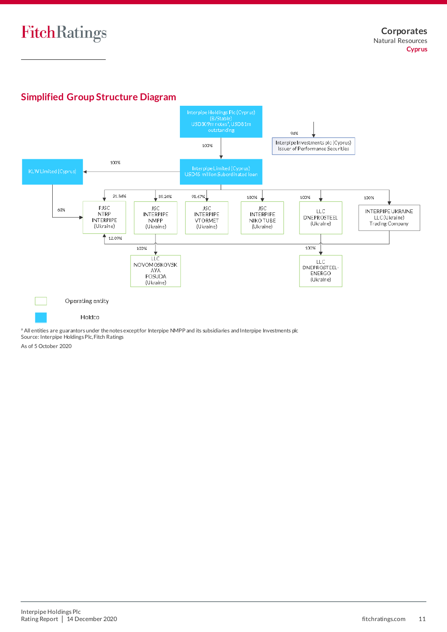# **Simplified Group Structure Diagram**



a All entities are guarantors under the notes except for Interpipe NMPP and its subsidiaries and Interpipe Investments plc Source: Interpipe Holdings Plc, Fitch Ratings

As of 5 October 2020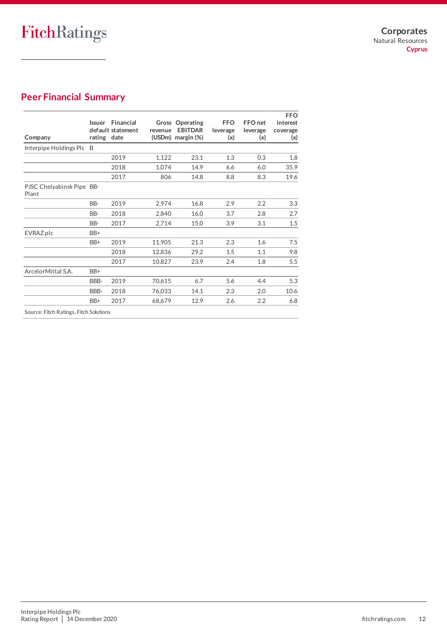# **Peer Financial Summary**

| Company                                | <b>Issuer</b><br>rating date | Financial<br>default statement | revenue | <b>Gross Operating</b><br><b>EBITDAR</b><br>(USDm) margin (%) | <b>FFO</b><br>leverage<br>(x) | FFO <sub>net</sub><br>leverage<br>(x) | <b>FFO</b><br>interest<br>coverage<br>(x) |
|----------------------------------------|------------------------------|--------------------------------|---------|---------------------------------------------------------------|-------------------------------|---------------------------------------|-------------------------------------------|
| Interpipe Holdings Plc B               |                              |                                |         |                                                               |                               |                                       |                                           |
|                                        |                              | 2019                           | 1,122   | 23.1                                                          | 1.3                           | 0.3                                   | 1.8                                       |
|                                        |                              | 2018                           | 1,074   | 14.9                                                          | 6.6                           | 6.0                                   | 35.9                                      |
|                                        |                              | 2017                           | 806     | 14.8                                                          | 8.8                           | 8.3                                   | 19.6                                      |
| PJSC Chelyabinsk Pipe BB-<br>Plant     |                              |                                |         |                                                               |                               |                                       |                                           |
|                                        | BB-                          | 2019                           | 2,974   | 16.8                                                          | 2.9                           | 2.2                                   | 3.3                                       |
|                                        | BB-                          | 2018                           | 2,840   | 16.0                                                          | 3.7                           | 2.8                                   | 2.7                                       |
|                                        | BB-                          | 2017                           | 2,714   | 15.0                                                          | 3.9                           | 3.1                                   | 1.5                                       |
| EVRAZ plc                              | BB+                          |                                |         |                                                               |                               |                                       |                                           |
|                                        | BB+                          | 2019                           | 11,905  | 21.3                                                          | 2.3                           | 1.6                                   | 7.5                                       |
|                                        |                              | 2018                           | 12,836  | 29.2                                                          | 1.5                           | 1.1                                   | 9.8                                       |
|                                        |                              | 2017                           | 10,827  | 23.9                                                          | 2.4                           | 1.8                                   | 5.5                                       |
| ArcelorMittal S.A.                     | BB+                          |                                |         |                                                               |                               |                                       |                                           |
|                                        | BBB-                         | 2019                           | 70,615  | 6.7                                                           | 5.6                           | 4.4                                   | 5.3                                       |
|                                        | BBB-                         | 2018                           | 76,033  | 14.1                                                          | 2.3                           | 2.0                                   | 10.6                                      |
|                                        | BB+                          | 2017                           | 68.679  | 12.9                                                          | 2.6                           | 2.2                                   | 6.8                                       |
| Source: Fitch Ratings, Fitch Solutions |                              |                                |         |                                                               |                               |                                       |                                           |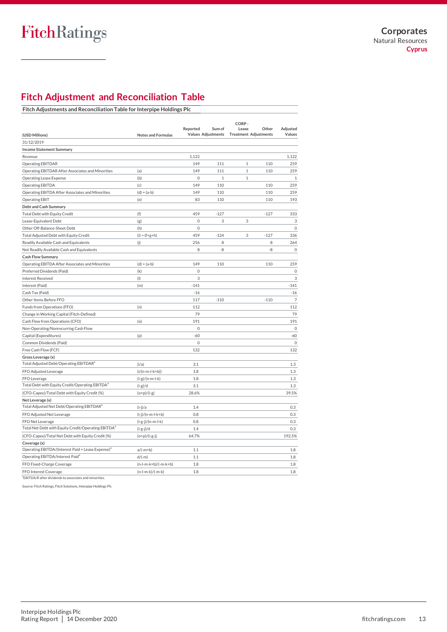# **Fitch Adjustment and Reconciliation Table**

|                                                                 |                           | Reported            | Sum of                    | CORP-<br>Lease               | Other  | Adjusted                  |
|-----------------------------------------------------------------|---------------------------|---------------------|---------------------------|------------------------------|--------|---------------------------|
| (USD Millions)                                                  | <b>Notes and Formulas</b> |                     | <b>Values Adjustments</b> | <b>Treatment Adjustments</b> |        | Values                    |
| 31/12/2019                                                      |                           |                     |                           |                              |        |                           |
| <b>Income Statement Summary</b>                                 |                           |                     |                           |                              |        |                           |
| Revenue                                                         |                           | 1,122               |                           |                              |        | 1,122                     |
| Operating EBITDAR                                               |                           | 149                 | 111                       | $\mathbf{1}$                 | 110    | 259                       |
| Operating EBITDAR After Associates and Minorities               | (a)                       | 149                 | 111                       | $1\,$                        | 110    | 259                       |
| <b>Operating Lease Expense</b>                                  | (b)                       | $\mathsf{O}\xspace$ | $1\,$                     | $1\,$                        |        | $\mathbf{1}$              |
| <b>Operating EBITDA</b>                                         | (c)                       | 149                 | 110                       |                              | 110    | 259                       |
| Operating EBITDA After Associates and Minorities                | $(d) = (a-b)$             | 149                 | 110                       |                              | 110    | 259                       |
| <b>Operating EBIT</b>                                           | (e)                       | 83                  | 110                       |                              | 110    | 193                       |
| Debt and Cash Summary                                           |                           |                     |                           |                              |        |                           |
| Total Debt with Equity Credit                                   | (f)                       | 459                 | $-127$                    |                              | $-127$ | 333                       |
| Lease-Equivalent Debt                                           | (g)                       | $\mathsf{O}\xspace$ | 3                         | 3                            |        | $\ensuremath{\mathsf{3}}$ |
| Other Off-Balance-Sheet Debt                                    | (h)                       | $\mathbf 0$         |                           |                              |        | $\mathsf O$               |
| Total Adjusted Debt with Equity Credit                          | $(i) = (f+g+h)$           | 459                 | $-124$                    | 3                            | $-127$ | 336                       |
| Readily Available Cash and Equivalents                          | (j)                       | 256                 | 8                         |                              | 8      | 264                       |
| Not Readily Available Cash and Equivalents                      |                           | 8                   | -8                        |                              | -8     | $\mathsf{O}\xspace$       |
| <b>Cash Flow Summary</b>                                        |                           |                     |                           |                              |        |                           |
| Operating EBITDA After Associates and Minorities                | $(d) = (a-b)$             | 149                 | 110                       |                              | 110    | 259                       |
| Preferred Dividends (Paid)                                      | (k)                       | $\mathbf 0$         |                           |                              |        | $\mathbb O$               |
| <b>Interest Received</b>                                        | (1)                       | 3                   |                           |                              |        | $\ensuremath{\mathsf{3}}$ |
| Interest (Paid)                                                 | (m)                       | $-141$              |                           |                              |        | $-141$                    |
| Cash Tax (Paid)                                                 |                           | $-16$               |                           |                              |        | $-16$                     |
| Other Items Before FFO                                          |                           | 117                 | $-110$                    |                              | $-110$ | $\overline{7}$            |
| Funds from Operations (FFO)                                     | (n)                       | 112                 |                           |                              |        | 112                       |
| Change in Working Capital (Fitch-Defined)                       |                           | 79                  |                           |                              |        | 79                        |
| Cash Flow from Operations (CFO)                                 | (o)                       | 191                 |                           |                              |        | 191                       |
| Non-Operating/Nonrecurring Cash Flow                            |                           | $\mathbf 0$         |                           |                              |        | $\mathsf O$               |
| Capital (Expenditures)                                          | (p)                       | $-60$               |                           |                              |        | $-60$                     |
| Common Dividends (Paid)                                         |                           | $\mathbf 0$         |                           |                              |        | $\mathsf O$               |
| Free Cash Flow (FCF)                                            |                           | 132                 |                           |                              |        | 132                       |
| Gross Leverage (x)                                              |                           |                     |                           |                              |        |                           |
| Total Adjusted Debt/Operating EBITDAR <sup>a</sup>              | (i/a)                     | 3.1                 |                           |                              |        | 1.3                       |
| FFO Adjusted Leverage                                           | $(i/(n-m-l-k+b))$         | 1.8                 |                           |                              |        | 1.3                       |
| FFO Leverage                                                    | $(i-g)/(n-m-l-k)$         | 1.8                 |                           |                              |        | 1.3                       |
| Total Debt with Equity Credit/Operating EBITDA <sup>a</sup>     | $(i-g)/d$                 | 3.1                 |                           |                              |        | 1.3                       |
| (CFO-Capex)/Total Debt with Equity Credit (%)                   | $(o+p)/(i-g)$             | 28.6%               |                           |                              |        | 39.5%                     |
| Net Leverage (x)                                                |                           |                     |                           |                              |        |                           |
| Total Adjusted Net Debt/Operating EBITDAR <sup>a</sup>          | $(i-j)/a$                 | 1.4                 |                           |                              |        | 0.3                       |
| FFO Adjusted Net Leverage                                       | (i-j)/(n-m-l-k+b)         | 0.8                 |                           |                              |        | 0.3                       |
| FFO Net Leverage                                                | (i-g-j)/(n-m-l-k)         | 0.8                 |                           |                              |        | 0.3                       |
| Total Net Debt with Equity Credit/Operating EBITDA <sup>a</sup> | $(i-g-j)/d$               | 1.4                 |                           |                              |        | 0.3                       |
| (CFO-Capex)/Total Net Debt with Equity Credit (%)               | $(o+p)/(i-g-j)$           | 64.7%               |                           |                              |        | 192.5%                    |
| Coverage (x)                                                    |                           |                     |                           |                              |        |                           |
| Operating EBITDA/(Interest Paid + Lease Expense) <sup>a</sup>   | $a/(-m+b)$                | 1.1                 |                           |                              |        | 1.8                       |
| Operating EBITDA/Interest Paid <sup>a</sup>                     | $d/(-m)$                  | 1.1                 |                           |                              |        | 1.8                       |
| FFO Fixed-Charge Coverage                                       | $(n-l-m-k+b)/(-m-k+b)$    | 1.8                 |                           |                              |        | 1.8                       |
| FFO Interest Coverage                                           | (n-l-m-k)/(-m-k)          | 1.8                 |                           |                              |        | 1.8                       |

<sup>a</sup>EBITDA/R after dividends to associates and minorities.

Source: Fitch Ratings, Fitch Solutions, Interpipe Holdings Plc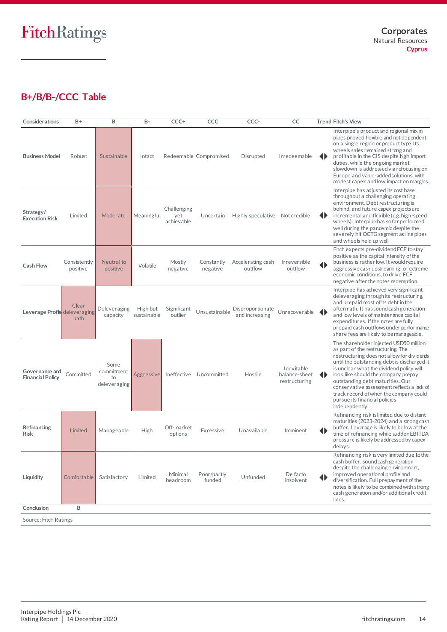# **B+/B/B-/CCC Table**

| Considerations                            | B+                       | B                                        | <b>B-</b>               | CCC+                             | CCC                     | CCC-                               | CC                                           | <b>Trend Fitch's View</b>                                                                                                                                                                                                                                                                                                                                                                                                                        |
|-------------------------------------------|--------------------------|------------------------------------------|-------------------------|----------------------------------|-------------------------|------------------------------------|----------------------------------------------|--------------------------------------------------------------------------------------------------------------------------------------------------------------------------------------------------------------------------------------------------------------------------------------------------------------------------------------------------------------------------------------------------------------------------------------------------|
| <b>Business Model</b>                     | Robust                   | Sustainable                              | Intact                  |                                  | Redeemable Compromised  | Disrupted                          | Irredeemable                                 | Interpipe's product and regional mix in<br>pipes proved flexible and not dependent<br>on a single region or product type. Its<br>wheels sales remained strong and<br>◆<br>profitable in the CIS despite high import<br>duties, while the ongoing market<br>slowdown is addressed via refocusing on<br>Europe and value-added solutions, with<br>modest capex and low impact on margins.                                                          |
| Strategy/<br><b>Execution Risk</b>        | Limited                  | Moderate                                 | Meaningful              | Challenging<br>yet<br>achievable | Uncertain               | Highly speculative Not credible    |                                              | Interpipe has adjusted its cost base<br>throughout a challenging operating<br>environment. Debt restructuring is<br>behind, and future capex projects are<br>incremental and flexible (e.g. high-speed<br>◆<br>wheels). Interpipe has so far performed<br>well during the pandemic despite the<br>severely hit OCTG segment as line pipes<br>and wheels held up well.                                                                            |
| <b>Cash Flow</b>                          | Consistently<br>positive | Neutral to<br>positive                   | Volatile                | Mostly<br>negative               | Constantly<br>negative  | Accelerating cash<br>outflow       | Irreversible<br>outflow                      | Fitch expects pre-dividend FCF to stay<br>positive as the capital intensity of the<br>business is rather low. It would require<br>◆<br>aggressive cash upstreaming, or extreme<br>economic conditions, to drive FCF<br>negative after the notes redemption.                                                                                                                                                                                      |
| Leverage Profile deleveraging             | Clear<br>path            | Deleveraging<br>capacity                 | High but<br>sustainable | Significant<br>outlier           | Unsustainable           | Disproportionate<br>and increasing | Unrecoverable                                | Interpipe has achieved very significant<br>deleveraging through its restructuring,<br>and prepaid most of its debt in the<br>aftermath. It has sound cash generation<br>Ð<br>and low levels of maintenance capital<br>expenditures. If the notes are fully<br>prepaid cash outflows under performance<br>share fees are likely to be manageable.                                                                                                 |
| Governance and<br><b>Financial Policy</b> | Committed                | Some<br>commitment<br>to<br>deleveraging | Aggressive              |                                  | Ineffective Uncommitted | Hostile                            | Inevitable<br>balance-sheet<br>restructuring | The shareholder injected USD50 million<br>as part of the restructuring. The<br>restructuring does not allow for dividends<br>until the outstanding debt is discharged. It<br>is unclear what the dividend policy will<br>look like should the company prepay<br>◂<br>outstanding debt maturities. Our<br>conservative assessment reflects a lack of<br>track record of when the company could<br>pursue its financial policies<br>independently. |
| Refinancing<br><b>Risk</b>                | Limited                  | Manageable                               | High                    | Off-market<br>options            | Excessive               | Unavailable                        | Imminent                                     | Refinancing risk is limited due to distant<br>maturities (2023-2024) and a strong cash<br>buffer. Leverage is likely to be low at the<br>$\blacklozenge$<br>time of refinancing while sudden EBITDA<br>pressure is likely be addressed by capex<br>delays.                                                                                                                                                                                       |
| Liquidity                                 | Comfortable              | Satisfactory                             | Limited                 | Minimal<br>headroom              | Poor/partly<br>funded   | Unfunded                           | De facto<br>insolvent                        | Refinancing risk is very limited due to the<br>cash buffer, sound cash generation<br>despite the challenging environment,<br>improved operational profile and<br>◆<br>diversification. Full prepayment of the<br>notes is likely to be combined with strong<br>cash generation and/or additional credit<br>lines.                                                                                                                                |
| Conclusion<br>B                           |                          |                                          |                         |                                  |                         |                                    |                                              |                                                                                                                                                                                                                                                                                                                                                                                                                                                  |
| Source: Fitch Ratings                     |                          |                                          |                         |                                  |                         |                                    |                                              |                                                                                                                                                                                                                                                                                                                                                                                                                                                  |